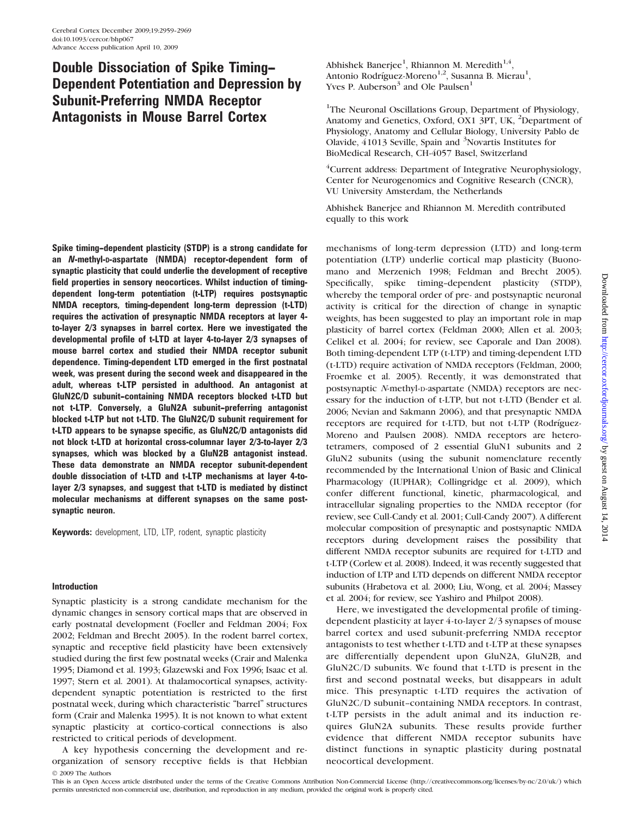# Double Dissociation of Spike Timing-- Dependent Potentiation and Depression by Subunit-Preferring NMDA Receptor Antagonists in Mouse Barrel Cortex

Spike timing--dependent plasticity (STDP) is a strong candidate for an *N*-methyl-D-aspartate (NMDA) receptor-dependent form of synaptic plasticity that could underlie the development of receptive field properties in sensory neocortices. Whilst induction of timingdependent long-term potentiation (t-LTP) requires postsynaptic NMDA receptors, timing-dependent long-term depression (t-LTD) requires the activation of presynaptic NMDA receptors at layer 4 to-layer 2/3 synapses in barrel cortex. Here we investigated the developmental profile of t-LTD at layer 4-to-layer 2/3 synapses of mouse barrel cortex and studied their NMDA receptor subunit dependence. Timing-dependent LTD emerged in the first postnatal week, was present during the second week and disappeared in the adult, whereas t-LTP persisted in adulthood. An antagonist at GluN2C/D subunit-containing NMDA receptors blocked t-LTD but not t-LTP. Conversely, a GluN2A subunit-preferring antagonist blocked t-LTP but not t-LTD. The GluN2C/D subunit requirement for t-LTD appears to be synapse specific, as GluN2C/D antagonists did not block t-LTD at horizontal cross-columnar layer 2/3-to-layer 2/3 synapses, which was blocked by a GluN2B antagonist instead. These data demonstrate an NMDA receptor subunit-dependent double dissociation of t-LTD and t-LTP mechanisms at layer 4-tolayer 2/3 synapses, and suggest that t-LTD is mediated by distinct molecular mechanisms at different synapses on the same postsynaptic neuron.

Keywords: development, LTD, LTP, rodent, synaptic plasticity

# Introduction

Synaptic plasticity is a strong candidate mechanism for the dynamic changes in sensory cortical maps that are observed in early postnatal development (Foeller and Feldman 2004; Fox 2002; Feldman and Brecht 2005). In the rodent barrel cortex, synaptic and receptive field plasticity have been extensively studied during the first few postnatal weeks (Crair and Malenka 1995; Diamond et al. 1993; Glazewski and Fox 1996; Isaac et al. 1997; Stern et al. 2001). At thalamocortical synapses, activitydependent synaptic potentiation is restricted to the first postnatal week, during which characteristic ''barrel'' structures form (Crair and Malenka 1995). It is not known to what extent synaptic plasticity at cortico-cortical connections is also restricted to critical periods of development.

A key hypothesis concerning the development and reorganization of sensory receptive fields is that Hebbian 2009 The Authors

Abhishek Banerjee $^1$ , Rhiannon M. Meredith $^{1,4},$ Antonio Rodríguez-Moreno<sup>1,2</sup>, Susanna B. Mierau<sup>1</sup>, Yves P. Auberson $3$  and Ole Paulsen $1$ 

<sup>1</sup>The Neuronal Oscillations Group, Department of Physiology, Anatomy and Genetics, Oxford, OX1 3PT, UK, <sup>2</sup>Department of Physiology, Anatomy and Cellular Biology, University Pablo de Olavide, 41013 Seville, Spain and <sup>3</sup>Novartis Institutes for BioMedical Research, CH-4057 Basel, Switzerland

4 Current address: Department of Integrative Neurophysiology, Center for Neurogenomics and Cognitive Research (CNCR), VU University Amsterdam, the Netherlands

Abhishek Banerjee and Rhiannon M. Meredith contributed equally to this work

mechanisms of long-term depression (LTD) and long-term potentiation (LTP) underlie cortical map plasticity (Buonomano and Merzenich 1998; Feldman and Brecht 2005). Specifically, spike timing-dependent plasticity (STDP), whereby the temporal order of pre- and postsynaptic neuronal activity is critical for the direction of change in synaptic weights, has been suggested to play an important role in map plasticity of barrel cortex (Feldman 2000; Allen et al. 2003; Celikel et al. 2004; for review, see Caporale and Dan 2008). Both timing-dependent LTP (t-LTP) and timing-dependent LTD (t-LTD) require activation of NMDA receptors (Feldman, 2000; Froemke et al. 2005). Recently, it was demonstrated that postsynaptic N-methyl-D-aspartate (NMDA) receptors are necessary for the induction of t-LTP, but not t-LTD (Bender et al. 2006; Nevian and Sakmann 2006), and that presynaptic NMDA receptors are required for t-LTD, but not t-LTP (Rodríguez-Moreno and Paulsen 2008). NMDA receptors are heterotetramers, composed of 2 essential GluN1 subunits and 2 GluN2 subunits (using the subunit nomenclature recently recommended by the International Union of Basic and Clinical Pharmacology (IUPHAR); Collingridge et al. 2009), which confer different functional, kinetic, pharmacological, and intracellular signaling properties to the NMDA receptor (for review, see Cull-Candy et al. 2001; Cull-Candy 2007). A different molecular composition of presynaptic and postsynaptic NMDA receptors during development raises the possibility that different NMDA receptor subunits are required for t-LTD and t-LTP (Corlew et al. 2008). Indeed, it was recently suggested that induction of LTP and LTD depends on different NMDA receptor subunits (Hrabetova et al. 2000; Liu, Wong, et al. 2004; Massey et al. 2004; for review, see Yashiro and Philpot 2008).

Here, we investigated the developmental profile of timingdependent plasticity at layer 4-to-layer 2/3 synapses of mouse barrel cortex and used subunit-preferring NMDA receptor antagonists to test whether t-LTD and t-LTP at these synapses are differentially dependent upon GluN2A, GluN2B, and GluN2C/D subunits. We found that t-LTD is present in the first and second postnatal weeks, but disappears in adult mice. This presynaptic t-LTD requires the activation of GluN2C/D subunit-containing NMDA receptors. In contrast, t-LTP persists in the adult animal and its induction requires GluN2A subunits. These results provide further evidence that different NMDA receptor subunits have distinct functions in synaptic plasticity during postnatal neocortical development.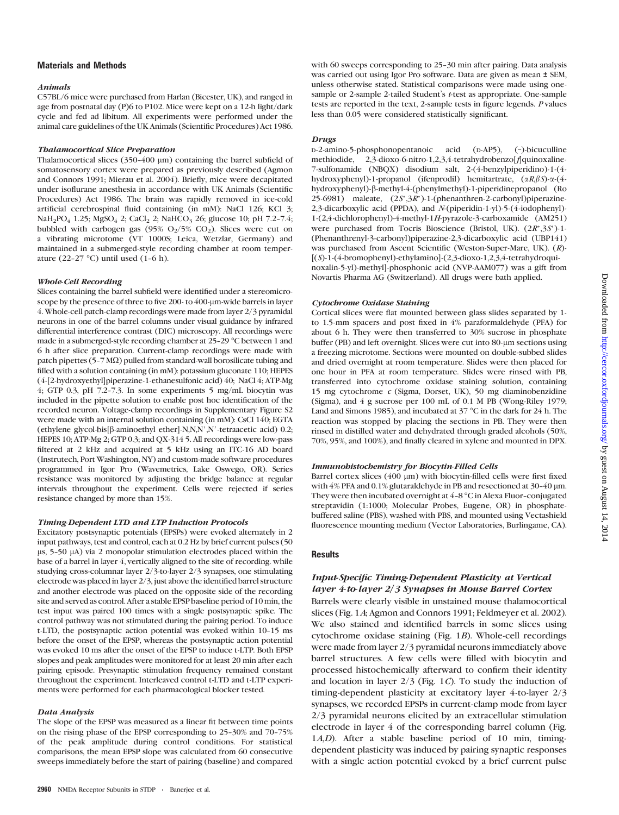# Materials and Methods

### Animals

C57BL/6 mice were purchased from Harlan (Bicester, UK), and ranged in age from postnatal day (P)6 to P102. Mice were kept on a 12-h light/dark cycle and fed ad libitum. All experiments were performed under the animal care guidelines of the UK Animals (Scientific Procedures) Act 1986.

### Thalamocortical Slice Preparation

Thalamocortical slices  $(350-400 \mu m)$  containing the barrel subfield of somatosensory cortex were prepared as previously described (Agmon and Connors 1991; Mierau et al. 2004). Briefly, mice were decapitated under isoflurane anesthesia in accordance with UK Animals (Scientific Procedures) Act 1986. The brain was rapidly removed in ice-cold artificial cerebrospinal fluid containing (in mM): NaCl 126; KCl 3; NaH<sub>2</sub>PO<sub>4</sub> 1.25; MgSO<sub>4</sub> 2; CaCl<sub>2</sub> 2; NaHCO<sub>3</sub> 26; glucose 10; pH 7.2-7.4; bubbled with carbogen gas (95%  $O_2/5\%$   $CO_2$ ). Slices were cut on a vibrating microtome (VT 1000S; Leica, Wetzlar, Germany) and maintained in a submerged-style recording chamber at room temperature (22-27 °C) until used (1-6 h).

### Whole-Cell Recording

Slices containing the barrel subfield were identified under a stereomicroscope by the presence of three to five 200- to 400-µm-wide barrels in layer 4. Whole-cell patch-clamp recordings were made from layer 2/3 pyramidal neurons in one of the barrel columns under visual guidance by infrared differential interference contrast (DIC) microscopy. All recordings were made in a submerged-style recording chamber at 25-29 °C between 1 and 6 h after slice preparation. Current-clamp recordings were made with patch pipettes ( $5-7$  M $\Omega$ ) pulled from standard-wall borosilicate tubing and filled with a solution containing (in mM): potassium gluconate 110; HEPES (4-[2-hydroxyethyl]piperazine-1-ethanesulfonic acid) 40; NaCl 4; ATP-Mg  $4$ ; GTP 0.3, pH 7.2-7.3. In some experiments 5 mg/mL biocytin was included in the pipette solution to enable post hoc identification of the recorded neuron. Voltage-clamp recordings in<Supplementary Figure S2> were made with an internal solution containing (in mM): CsCl 140; EGTA (ethylene glycol-bis[ $\beta$ -aminoethyl ether]-N,N,N',N'-tetraacetic acid) 0.2; HEPES 10; ATP-Mg 2; GTP 0.3; and QX-314 5. All recordings were low-pass filtered at 2 kHz and acquired at 5 kHz using an ITC-16 AD board (Instrutech, Port Washington, NY) and custom-made software procedures programmed in Igor Pro (Wavemetrics, Lake Oswego, OR). Series resistance was monitored by adjusting the bridge balance at regular intervals throughout the experiment. Cells were rejected if series resistance changed by more than 15%.

### Timing-Dependent LTD and LTP Induction Protocols

Excitatory postsynaptic potentials (EPSPs) were evoked alternately in 2 input pathways, test and control, each at 0.2 Hz by brief current pulses (50  $\mu$ s, 5-50  $\mu$ A) via 2 monopolar stimulation electrodes placed within the base of a barrel in layer 4, vertically aligned to the site of recording. while studying cross-columnar layer 2/3-to-layer 2/3 synapses, one stimulating electrode was placed in layer 2/3, just above the identified barrel structure and another electrode was placed on the opposite side of the recording site and served as control. After a stable EPSP baseline period of 10 min, the test input was paired 100 times with a single postsynaptic spike. The control pathway was not stimulated during the pairing period. To induce t-LTD, the postsynaptic action potential was evoked within 10-15 ms before the onset of the EPSP, whereas the postsynaptic action potential was evoked 10 ms after the onset of the EPSP to induce t-LTP. Both EPSP slopes and peak amplitudes were monitored for at least 20 min after each pairing episode. Presynaptic stimulation frequency remained constant throughout the experiment. Interleaved control t-LTD and t-LTP experiments were performed for each pharmacological blocker tested.

### Data Analysis

The slope of the EPSP was measured as a linear fit between time points on the rising phase of the EPSP corresponding to 25-30% and 70-75% of the peak amplitude during control conditions. For statistical comparisons, the mean EPSP slope was calculated from 60 consecutive sweeps immediately before the start of pairing (baseline) and compared with 60 sweeps corresponding to 25-30 min after pairing. Data analysis was carried out using Igor Pro software. Data are given as mean ± SEM, unless otherwise stated. Statistical comparisons were made using onesample or 2-sample 2-tailed Student's t-test as appropriate. One-sample tests are reported in the text, 2-sample tests in figure legends. P values less than 0.05 were considered statistically significant.

### Drugs

D-2-amino-5-phosphonopentanoic acid (D-AP5), (–)-bicuculline methiodide, 2,3-dioxo-6-nitro-1,2,3,4-tetrahydrobenzo[f]quinoxaline-7-sulfonamide (NBQX) disodium salt, 2-(4-benzylpiperidino)-1-(4 hydroxyphenyl)-1-propanol (ifenprodil) hemitartrate,  $(\alpha R, \beta S)$ - $\alpha$ -(4hydroxyphenyl)-b-methyl-4-(phenylmethyl)-1-piperidinepropanol (Ro 25-6981) maleate, (2S\*,3R\*)-1-(phenanthren-2-carbonyl)piperazine-2,3-dicarboxylic acid (PPDA), and N-(piperidin-1-yl)-5-(4-iodophenyl)- 1-(2,4-dichlorophenyl)-4-methyl-1H-pyrazole-3-carboxamide (AM251) were purchased from Tocris Bioscience (Bristol, UK). (2R\*,3S\*)-1- (Phenanthrenyl-3-carbonyl)piperazine-2,3-dicarboxylic acid (UBP141) was purchased from Ascent Scientific (Weston-Super-Mare, UK). (R)-  $[(S)-1-(4-bromophenyl)-ethylamino]-(2,3-dioxo-1,2,3,4-tetrahydroqui$ noxalin-5-yl)-methyl]-phosphonic acid (NVP-AAM077) was a gift from Novartis Pharma AG (Switzerland). All drugs were bath applied.

### Cytochrome Oxidase Staining

Cortical slices were flat mounted between glass slides separated by 1 to 1.5-mm spacers and post fixed in 4% paraformaldehyde (PFA) for about 6 h. They were then transferred to 30% sucrose in phosphate buffer (PB) and left overnight. Slices were cut into 80-µm sections using a freezing microtome. Sections were mounted on double-subbed slides and dried overnight at room temperature. Slides were then placed for one hour in PFA at room temperature. Slides were rinsed with PB, transferred into cytochrome oxidase staining solution, containing 15 mg cytochrome c (Sigma, Dorset, UK), 50 mg diaminobenzidine (Sigma), and 4 g sucrose per 100 mL of 0.1 M PB (Wong-Riley 1979; Land and Simons 1985), and incubated at 37  $^{\circ}$ C in the dark for 24 h. The reaction was stopped by placing the sections in PB. They were then rinsed in distilled water and dehydrated through graded alcohols (50%, 70%, 95%, and 100%), and finally cleared in xylene and mounted in DPX.

### Immunohistochemistry for Biocytin-Filled Cells

Barrel cortex slices  $(400 \mu m)$  with biocytin-filled cells were first fixed with  $4\%$  PFA and  $0.1\%$  glutaraldehyde in PB and resectioned at  $30-40$  µm. They were then incubated overnight at  $4-8\,^{\circ}\mathrm{C}$  in Alexa Fluor-conjugated streptavidin (1:1000; Molecular Probes, Eugene, OR) in phosphatebuffered saline (PBS), washed with PBS, and mounted using Vectashield fluorescence mounting medium (Vector Laboratories, Burlingame, CA).

# **Results**

# Input-Specific Timing-Dependent Plasticity at Vertical layer 4-to-layer 2/3 Synapses in Mouse Barrel Cortex

Barrels were clearly visible in unstained mouse thalamocortical slices (Fig. 1A; Agmon and Connors 1991; Feldmeyer et al. 2002). We also stained and identified barrels in some slices using cytochrome oxidase staining (Fig. 1B). Whole-cell recordings were made from layer 2/3 pyramidal neurons immediately above barrel structures. A few cells were filled with biocytin and processed histochemically afterward to confirm their identity and location in layer 2/3 (Fig. 1C). To study the induction of timing-dependent plasticity at excitatory layer 4-to-layer 2/3 synapses, we recorded EPSPs in current-clamp mode from layer 2/3 pyramidal neurons elicited by an extracellular stimulation electrode in layer 4 of the corresponding barrel column (Fig. 1A,D). After a stable baseline period of 10 min, timingdependent plasticity was induced by pairing synaptic responses with a single action potential evoked by a brief current pulse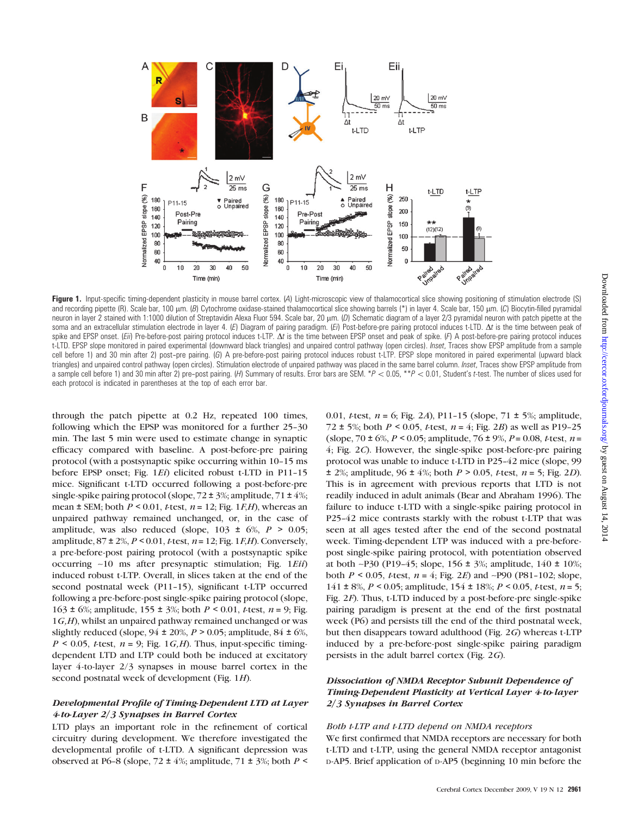

Figure 1. Input-specific timing-dependent plasticity in mouse barrel cortex. (A) Light-microscopic view of thalamocortical slice showing positioning of stimulation electrode (S) and recording pipette (R). Scale bar, 100 µm. (B) Cytochrome oxidase-stained thalamocortical slice showing barrels (\*) in layer 4. Scale bar, 150 µm. (C) Biocytin-filled pyramidal neuron in layer 2 stained with 1:1000 dilution of Streptavidin Alexa Fluor 594. Scale bar, 20 µm. (D) Schematic diagram of a layer 2/3 pyramidal neuron with patch pipette at the soma and an extracellular stimulation electrode in layer 4. (E) Diagram of pairing paradigm. (Ei) Post-before-pre pairing protocol induces t-LTD.  $\Delta t$  is the time between peak of spike and EPSP onset. (Eii) Pre-before-post pairing protocol induces t-LTP. At is the time between EPSP onset and peak of spike. (F) A post-before-pre pairing protocol induces t-LTD. EPSP slope monitored in paired experimental (downward black triangles) and unpaired control pathway (open circles). Inset, Traces show EPSP amplitude from a sample cell before 1) and 30 min after 2) post-pre pairing. (G) A pre-before-post pairing protocol induces robust t-LTP. EPSP slope monitored in paired experimental (upward black triangles) and unpaired control pathway (open circles). Stimulation electrode of unpaired pathway was placed in the same barrel column. Inset, Traces show EPSP amplitude from a sample cell before 1) and 30 min after 2) pre-post pairing. (H) Summary of results. Error bars are SEM. \*P < 0.05, \*\*P < 0.01, Student's t-test. The number of slices used for each protocol is indicated in parentheses at the top of each error bar.

through the patch pipette at 0.2 Hz, repeated 100 times, following which the EPSP was monitored for a further 25-30 min. The last 5 min were used to estimate change in synaptic efficacy compared with baseline. A post-before-pre pairing protocol (with a postsynaptic spike occurring within 10-15 ms before EPSP onset; Fig. 1*Ei*) elicited robust t-LTD in P11-15 mice. Significant t-LTD occurred following a post-before-pre single-spike pairing protocol (slope, 72 ± 3%; amplitude, 71 ± 4%; mean  $\pm$  SEM; both  $P \le 0.01$ , t-test,  $n = 12$ ; Fig. 1*F,H*), whereas an unpaired pathway remained unchanged, or, in the case of amplitude, was also reduced (slope,  $103 \pm 6\%$ ,  $P > 0.05$ ; amplitude,  $87 \pm 2\%, P \le 0.01$ , t-test,  $n = 12$ ; Fig. 1*F*,*H*). Conversely, a pre-before-post pairing protocol (with a postsynaptic spike occurring ~10 ms after presynaptic stimulation; Fig. 1Eii) induced robust t-LTP. Overall, in slices taken at the end of the second postnatal week (P11-15), significant t-LTP occurred following a pre-before-post single-spike pairing protocol (slope, 163 ± 6%; amplitude, 155 ± 3%; both  $P < 0.01$ , *t*-test,  $n = 9$ ; Fig. 1G,H), whilst an unpaired pathway remained unchanged or was slightly reduced (slope,  $94 \pm 20\%$ ,  $P > 0.05$ ; amplitude,  $84 \pm 6\%$ ,  $P \le 0.05$ , t-test,  $n = 9$ ; Fig. 1 G, H). Thus, input-specific timingdependent LTD and LTP could both be induced at excitatory layer 4-to-layer 2/3 synapses in mouse barrel cortex in the second postnatal week of development (Fig. 1H).

# Developmental Profile of Timing-Dependent LTD at Layer 4-to-Layer 2/3 Synapses in Barrel Cortex

LTD plays an important role in the refinement of cortical circuitry during development. We therefore investigated the developmental profile of t-LTD. A significant depression was observed at P6-8 (slope, 72  $\pm$  4%; amplitude, 71  $\pm$  3%; both P < 0.01, *t*-test,  $n = 6$ ; Fig. 2A), P11-15 (slope, 71  $\pm$  5%; amplitude, 72 ± 5%; both  $P < 0.05$ , *t*-test,  $n = 4$ ; Fig. 2*B*) as well as P19-25 (slope, 70 ± 6%,  $P < 0.05$ ; amplitude, 76 ± 9%,  $P = 0.08$ , *t*-test,  $n =$ 4; Fig. 2C). However, the single-spike post-before-pre pairing protocol was unable to induce t-LTD in P25-42 mice (slope, 99)  $\pm$  2%; amplitude, 96  $\pm$  4%; both *P* > 0.05, *t*-test, *n* = 5; Fig. 2*D*). This is in agreement with previous reports that LTD is not readily induced in adult animals (Bear and Abraham 1996). The failure to induce t-LTD with a single-spike pairing protocol in P25-42 mice contrasts starkly with the robust t-LTP that was seen at all ages tested after the end of the second postnatal week. Timing-dependent LTP was induced with a pre-beforepost single-spike pairing protocol, with potentiation observed at both ~P30 (P19-45; slope,  $156 \pm 3\%$ ; amplitude,  $140 \pm 10\%$ ; both  $P \le 0.05$ , *t*-test,  $n = 4$ ; Fig. 2*E*) and ~P90 (P81-102; slope, 141 ± 8%,  $P < 0.05$ ; amplitude, 154 ± 18%;  $P < 0.05$ , *t*-test,  $n = 5$ ; Fig. 2F). Thus, t-LTD induced by a post-before-pre single-spike pairing paradigm is present at the end of the first postnatal week (P6) and persists till the end of the third postnatal week, but then disappears toward adulthood (Fig. 2G) whereas t-LTP induced by a pre-before-post single-spike pairing paradigm persists in the adult barrel cortex (Fig. 2G).

# Dissociation of NMDA Receptor Subunit Dependence of Timing-Dependent Plasticity at Vertical Layer 4-to-layer 2/3 Synapses in Barrel Cortex

# Both t-LTP and t-LTD depend on NMDA receptors

We first confirmed that NMDA receptors are necessary for both t-LTD and t-LTP, using the general NMDA receptor antagonist D-AP5. Brief application of D-AP5 (beginning 10 min before the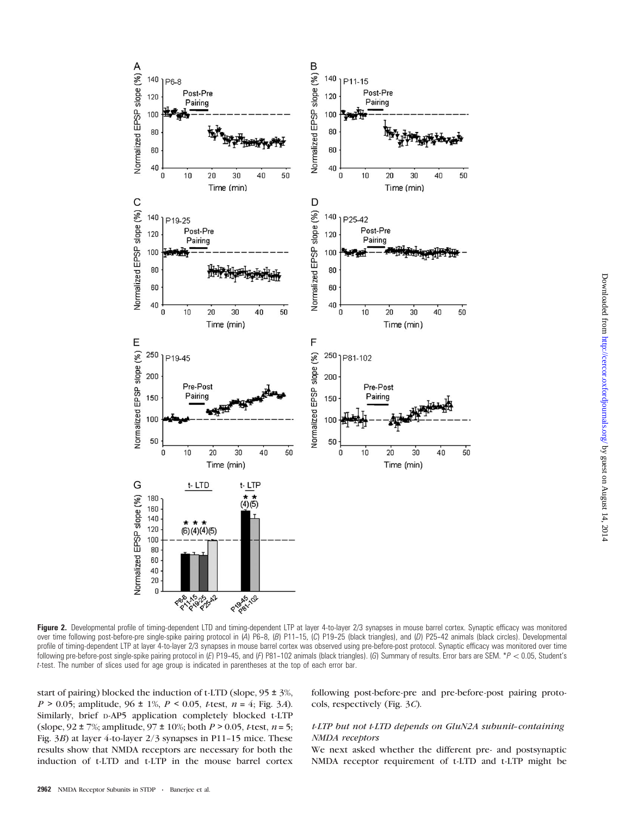

Figure 2. Developmental profile of timing-dependent LTD and timing-dependent LTP at layer 4-to-layer 2/3 synapses in mouse barrel cortex. Synaptic efficacy was monitored over time following post-before-pre single-spike pairing protocol in (A) P6-8, (B) P11-15, (C) P19-25 (black triangles), and (D) P25-42 animals (black circles). Developmental profile of timing-dependent LTP at layer 4-to-layer 2/3 synapses in mouse barrel cortex was observed using pre-before-post protocol. Synaptic efficacy was monitored over time following pre-before-post single-spike pairing protocol in (E) P19-45, and (F) P81-102 animals (black triangles). (G) Summary of results. Error bars are SEM. \*P < 0.05, Student's t-test. The number of slices used for age group is indicated in parentheses at the top of each error bar.

start of pairing) blocked the induction of t-LTD (slope, 95 ± 3%,  $P > 0.05$ ; amplitude,  $96 \pm 1\%$ ,  $P < 0.05$ ,  $t$ test,  $n = 4$ ; Fig. 3A). Similarly, brief D-AP5 application completely blocked t-LTP (slope,  $92 \pm 7\%$ ; amplitude,  $97 \pm 10\%$ ; both  $P > 0.05$ , *t*-test,  $n = 5$ ; Fig.  $3B$ ) at layer 4-to-layer  $2/3$  synapses in P11-15 mice. These results show that NMDA receptors are necessary for both the induction of t-LTD and t-LTP in the mouse barrel cortex

following post-before-pre and pre-before-post pairing protocols, respectively (Fig. 3C).

# $t$  LTP but not  $t$ -LTD depends on GluN2A subunit-containing NMDA receptors

We next asked whether the different pre- and postsynaptic NMDA receptor requirement of t-LTD and t-LTP might be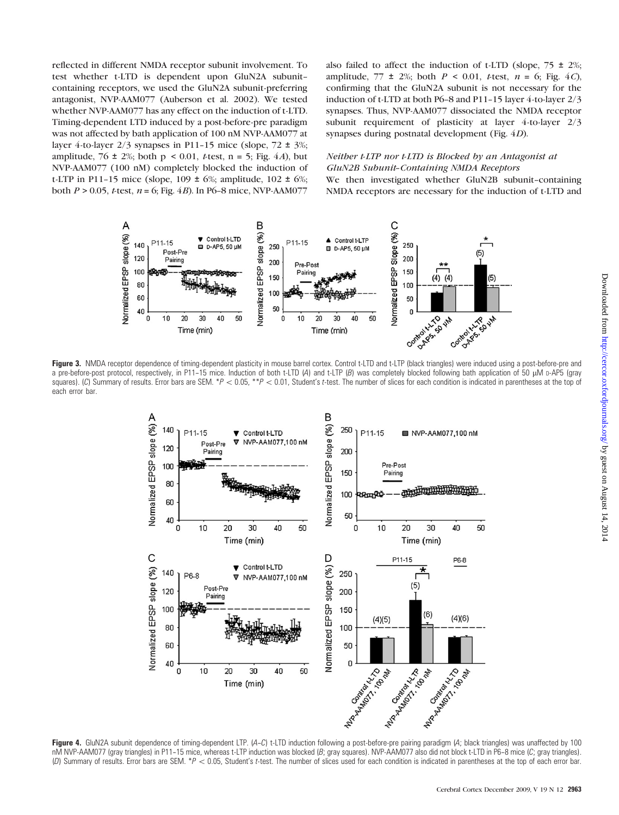reflected in different NMDA receptor subunit involvement. To test whether t-LTD is dependent upon GluN2A subunit- containing receptors, we used the GluN2A subunit-preferring antagonist, NVP-AAM077 (Auberson et al. 2002). We tested whether NVP-AAM077 has any effect on the induction of t-LTD. Timing-dependent LTD induced by a post-before-pre paradigm was not affected by bath application of 100 nM NVP-AAM077 at layer 4-to-layer  $2/3$  synapses in P11-15 mice (slope,  $72 \pm 3\%$ ; amplitude, 76  $\pm$  2%; both p < 0.01, t-test, n = 5; Fig. 4A), but NVP-AAM077 (100 nM) completely blocked the induction of t-LTP in P11-15 mice (slope,  $109 \pm 6\%$ ; amplitude,  $102 \pm 6\%$ ; both  $P > 0.05$ , *t*-test,  $n = 6$ ; Fig. 4*B*). In P6-8 mice, NVP-AAM077

also failed to affect the induction of t-LTD (slope,  $75 \pm 2\%$ ; amplitude, 77  $\pm$  2%; both  $P \le 0.01$ , t-test,  $n = 6$ ; Fig. 4C), confirming that the GluN2A subunit is not necessary for the induction of t-LTD at both P6-8 and P11-15 layer 4-to-layer  $2/3$ synapses. Thus, NVP-AAM077 dissociated the NMDA receptor subunit requirement of plasticity at layer 4-to-layer 2/3 synapses during postnatal development (Fig. 4D).

# Neither t-LTP nor t-LTD is Blocked by an Antagonist at GluN2B Subunit-Containing NMDA Receptors

We then investigated whether GluN2B subunit-containing NMDA receptors are necessary for the induction of t-LTD and



Figure 3. NMDA receptor dependence of timing-dependent plasticity in mouse barrel cortex. Control t-LTD and t-LTP (black triangles) were induced using a post-before-pre and a pre-before-post protocol, respectively, in P11-15 mice. Induction of both t-LTD (A) and t-LTP (B) was completely blocked following bath application of 50 uM p-AP5 (gray squares). (C) Summary of results. Error bars are SEM. \*P < 0.05, \*\*P < 0.01, Student's t-test. The number of slices for each condition is indicated in parentheses at the top of each error bar.



nM NVP-AAM077 (gray triangles) in P11-15 mice, whereas t-LTP induction was blocked (B; gray squares). NVP-AAM077 also did not block t-LTD in P6-8 mice (C; gray triangles). (D) Summary of results. Error bars are SEM. \* $P < 0.05$ , Student's t-test. The number of slices used for each condition is indicated in parentheses at the top of each error bar.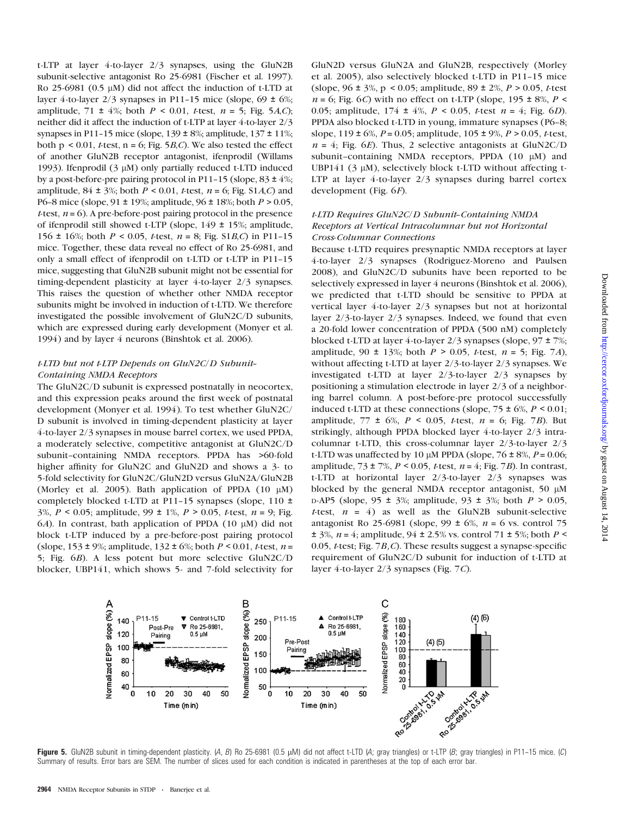t-LTP at layer 4-to-layer 2/3 synapses, using the GluN2B subunit-selective antagonist Ro 25-6981 (Fischer et al. 1997). Ro 25-6981 ( $0.5 \mu$ M) did not affect the induction of t-LTD at layer 4-to-layer  $2/3$  synapses in P11-15 mice (slope,  $69 \pm 6\%$ ; amplitude, 71  $\pm$  4%; both  $P \le 0.01$ , t-test,  $n = 5$ ; Fig. 5A,C); neither did it affect the induction of t-LTP at layer 4-to-layer 2/3 synapses in P11-15 mice (slope,  $139 \pm 8\%$ ; amplitude,  $137 \pm 11\%$ ; both  $p < 0.01$ , *t*-test,  $n = 6$ ; Fig. 5*B*,*C*). We also tested the effect of another GluN2B receptor antagonist, ifenprodil (Willams 1993). Ifenprodil  $(3 \mu M)$  only partially reduced t-LTD induced by a post-before-pre pairing protocol in P11-15 (slope,  $83 \pm 4\%$ ; amplitude,  $84 \pm 3\%$ ; both  $P \le 0.01$ , t-test,  $n = 6$ ; [Fig. S1](Fig. S1A,C)A,C) and P6-8 mice (slope, 91  $\pm$  19%; amplitude, 96  $\pm$  18%; both  $P > 0.05$ , t-test,  $n = 6$ ). A pre-before-post pairing protocol in the presence of ifenprodil still showed t-LTP (slope, 149 ± 15%; amplitude, 156 ± 16%; both  $P < 0.05$ , *t*-test,  $n = 8$ ; [Fig. S1](Fig. S1B,C)*B*,*C*) in P11-15 mice. Together, these data reveal no effect of Ro 25-6981, and only a small effect of ifenprodil on t-LTD or t-LTP in P11--15 mice, suggesting that GluN2B subunit might not be essential for timing-dependent plasticity at layer 4-to-layer 2/3 synapses. This raises the question of whether other NMDA receptor subunits might be involved in induction of t-LTD. We therefore investigated the possible involvement of GluN2C/D subunits, which are expressed during early development (Monyer et al. 1994) and by layer 4 neurons (Binshtok et al. 2006).

# $t$ -LTD but not  $t$ -LTP Depends on GluN2C/D Subunit-Containing NMDA Receptors

The GluN2C/D subunit is expressed postnatally in neocortex, and this expression peaks around the first week of postnatal development (Monyer et al. 1994). To test whether GluN2C/ D subunit is involved in timing-dependent plasticity at layer 4-to-layer 2/3 synapses in mouse barrel cortex, we used PPDA, a moderately selective, competitive antagonist at GluN2C/D subunit-containing NMDA receptors. PPDA has >60-fold higher affinity for GluN2C and GluN2D and shows a 3- to 5-fold selectivity for GluN2C/GluN2D versus GluN2A/GluN2B (Morley et al. 2005). Bath application of PPDA  $(10 \mu M)$ completely blocked t-LTD at P11-15 synapses (slope, 110 ± 3%,  $P < 0.05$ ; amplitude, 99 ± 1%,  $P > 0.05$ , *t*-test,  $n = 9$ ; Fig. 6A). In contrast, bath application of PPDA (10  $\mu$ M) did not block t-LTP induced by a pre-before-post pairing protocol (slope,  $153 \pm 9\%$ ; amplitude,  $132 \pm 6\%$ ; both  $P < 0.01$ , t-test,  $n =$ 5; Fig. 6B). A less potent but more selective GluN2C/D blocker, UBP141, which shows 5- and 7-fold selectivity for GluN2D versus GluN2A and GluN2B, respectively (Morley et al. 2005), also selectively blocked t-LTD in P11-15 mice (slope,  $96 \pm 3\%$ , p < 0.05; amplitude,  $89 \pm 2\%$ ,  $P > 0.05$ , *t*-test  $n = 6$ ; Fig. 6C) with no effect on t-LTP (slope, 195  $\pm$  8%, P < 0.05; amplitude,  $174 \pm 4\%$ ,  $P < 0.05$ ,  $t$ -test  $n = 4$ ; Fig. 6D). PPDA also blocked t-LTD in young, immature synapses (P6-8; slope,  $119 \pm 6\%, P = 0.05$ ; amplitude,  $105 \pm 9\%, P > 0.05$ , *t*-test,  $n = 4$ ; Fig. 6E). Thus, 2 selective antagonists at GluN2C/D subunit-containing NMDA receptors, PPDA  $(10 \mu M)$  and UBP141 ( $3 \mu$ M), selectively block t-LTD without affecting t-LTP at layer 4-to-layer 2/3 synapses during barrel cortex development (Fig. 6F).

# $t$  LTD Requires GluN2C/D Subunit-Containing NMDA Receptors at Vertical Intracolumnar but not Horizontal Cross-Columnar Connections

Because t-LTD requires presynaptic NMDA receptors at layer 4-to-layer 2/3 synapses (Rodriguez-Moreno and Paulsen 2008), and GluN2C/D subunits have been reported to be selectively expressed in layer 4 neurons (Binshtok et al. 2006), we predicted that t-LTD should be sensitive to PPDA at vertical layer 4-to-layer 2/3 synapses but not at horizontal layer 2/3-to-layer 2/3 synapses. Indeed, we found that even a 20-fold lower concentration of PPDA (500 nM) completely blocked t-LTD at layer 4-to-layer 2/3 synapses (slope, 97 ± 7%; amplitude, 90  $\pm$  13%; both  $P > 0.05$ , *t*-test,  $n = 5$ ; Fig. 7*A*), without affecting t-LTD at layer 2/3-to-layer 2/3 synapses. We investigated t-LTD at layer 2/3-to-layer 2/3 synapses by positioning a stimulation electrode in layer 2/3 of a neighboring barrel column. A post-before-pre protocol successfully induced t-LTD at these connections (slope,  $75 \pm 6\%$ ,  $P \le 0.01$ ; amplitude, 77  $\pm$  6%,  $P < 0.05$ , t-test,  $n = 6$ ; Fig. 7B). But strikingly, although PPDA blocked layer 4-to-layer 2/3 intracolumnar t-LTD, this cross-columnar layer 2/3-to-layer 2/3 t-LTD was unaffected by 10  $\mu$ M PPDA (slope, 76 ± 8%, P = 0.06; amplitude,  $73 \pm 7\%, P < 0.05$ , t-test,  $n = 4$ ; Fig. 7B). In contrast, t-LTD at horizontal layer 2/3-to-layer 2/3 synapses was blocked by the general NMDA receptor antagonist, 50  $\mu$ M  $D-AP5$  (slope, 95 ± 3%; amplitude, 93 ± 3%; both  $P > 0.05$ , t-test,  $n = 4$ ) as well as the GluN2B subunit-selective antagonist Ro 25-6981 (slope, 99  $\pm$  6%,  $n = 6$  vs. control 75  $\pm$  3%, *n* = 4; amplitude, 94  $\pm$  2.5% vs. control 71  $\pm$  5%; both *P* < 0.05, *t*-test; Fig. 7*B, C*). These results suggest a synapse-specific requirement of GluN2C/D subunit for induction of t-LTD at layer 4-to-layer 2/3 synapses (Fig. 7C).



Figure 5. GluN2B subunit in timing-dependent plasticity. (A, B) Ro 25-6981 (0.5  $\mu$ M) did not affect t-LTD (A; gray triangles) or t-LTP (B; gray triangles) in P11-15 mice. (C) Summary of results. Error bars are SEM. The number of slices used for each condition is indicated in parentheses at the top of each error bar.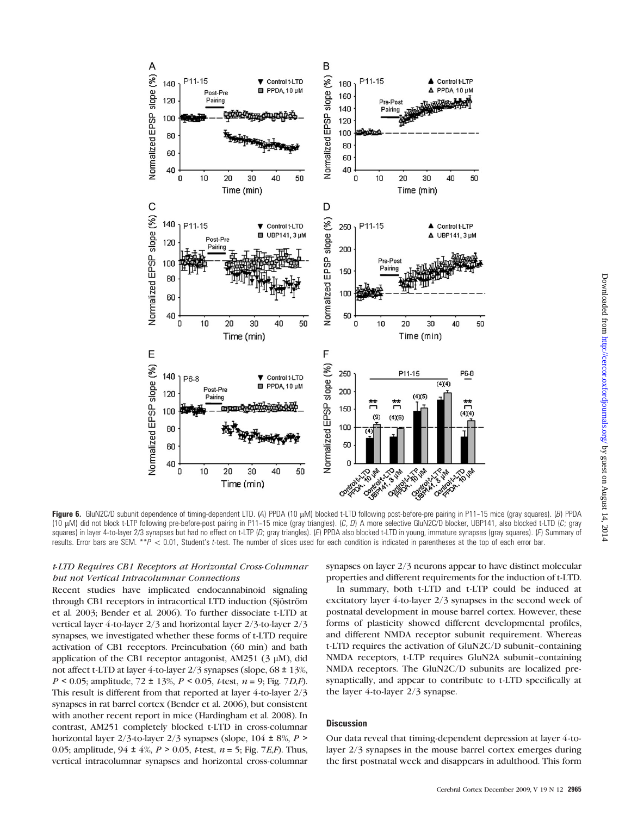

Figure 6. GluN2C/D subunit dependence of timing-dependent LTD. (A) PPDA (10 µM) blocked t-LTD following post-before-pre pairing in P11-15 mice (gray squares). (B) PPDA (10  $\mu$ M) did not block t-LTP following pre-before-post pairing in P11-15 mice (gray triangles). (C, D) A more selective GluN2C/D blocker, UBP141, also blocked t-LTD (C; gray squares) in layer 4-to-layer 2/3 synapses but had no effect on t-LTP (D; gray triangles). (E) PPDA also blocked t-LTD in young, immature synapses (gray squares). (F) Summary of results. Error bars are SEM.  $**P < 0.01$ , Student's t-test. The number of slices used for each condition is indicated in parentheses at the top of each error bar.

# t-LTD Requires CB1 Receptors at Horizontal Cross-Columnar but not Vertical Intracolumnar Connections

Recent studies have implicated endocannabinoid signaling through CB1 receptors in intracortical LTD induction (Sjöström et al. 2003; Bender et al. 2006). To further dissociate t-LTD at vertical layer 4-to-layer 2/3 and horizontal layer 2/3-to-layer 2/3 synapses, we investigated whether these forms of t-LTD require activation of CB1 receptors. Preincubation (60 min) and bath application of the CB1 receptor antagonist, AM251 ( $3 \mu$ M), did not affect t-LTD at layer 4-to-layer 2/3 synapses (slope, 68 ± 13%,  $P < 0.05$ ; amplitude, 72 ± 13%,  $P < 0.05$ , t-test,  $n = 9$ ; Fig. 7D, F). This result is different from that reported at layer 4-to-layer 2/3 synapses in rat barrel cortex (Bender et al. 2006), but consistent with another recent report in mice (Hardingham et al. 2008). In contrast, AM251 completely blocked t-LTD in cross-columnar horizontal layer 2/3-to-layer 2/3 synapses (slope,  $104 \pm 8\%$ ,  $P >$ 0.05; amplitude,  $94 \pm 4\%$ ,  $P > 0.05$ , *t*-test,  $n = 5$ ; Fig. 7*E,F*). Thus, vertical intracolumnar synapses and horizontal cross-columnar

synapses on layer 2/3 neurons appear to have distinct molecular properties and different requirements for the induction of t-LTD.

In summary, both t-LTD and t-LTP could be induced at excitatory layer 4-to-layer 2/3 synapses in the second week of postnatal development in mouse barrel cortex. However, these forms of plasticity showed different developmental profiles, and different NMDA receptor subunit requirement. Whereas t-LTD requires the activation of GluN2C/D subunit-containing NMDA receptors, t-LTP requires GluN2A subunit--containing NMDA receptors. The GluN2C/D subunits are localized presynaptically, and appear to contribute to t-LTD specifically at the layer 4-to-layer 2/3 synapse.

# **Discussion**

Our data reveal that timing-dependent depression at layer 4-tolayer 2/3 synapses in the mouse barrel cortex emerges during the first postnatal week and disappears in adulthood. This form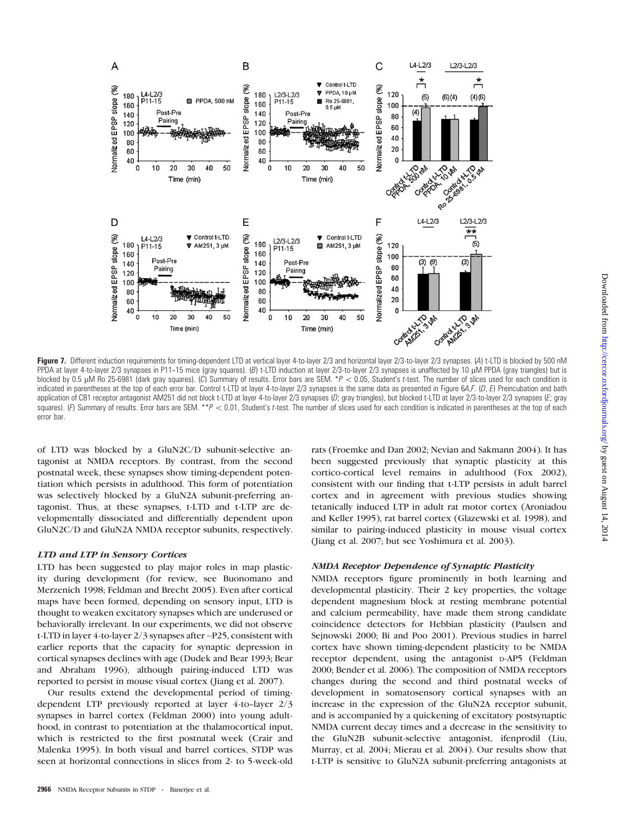

Figure 7. Different induction requirements for timing-dependent LTD at vertical layer 4-to-layer 2/3 and horizontal layer 2/3-to-layer 2/3 synapses. (A) t-LTD is blocked by 500 nM PPDA at layer 4-to-layer 2/3 synapses in P11-15 mice (gray squares). (B) t-LTD induction at layer 2/3-to-layer 2/3 synapses is unaffected by 10 µM PPDA (gray triangles) but is blocked by 0.5  $\mu$ M Ro 25-6981 (dark gray squares). (C) Summary of results. Error bars are SEM. \* $P < 0.05$ , Student's t-test. The number of slices used for each condition is indicated in parentheses at the top of each error bar. Control t-LTD at layer 4-to-layer 2/3 synapses is the same data as presented in Figure 6A,F. (D, E) Preincubation and bath application of CB1 receptor antagonist AM251 did not block t-LTD at layer 4-to-layer 2/3 synapses (D; gray triangles), but blocked t-LTD at layer 2/3-to-layer 2/3 synapses (E; gray squares). (F) Summary of results. Error bars are SEM. \*\*P < 0.01, Student's t-test. The number of slices used for each condition is indicated in parentheses at the top of each error bar.

of LTD was blocked by a GluN2C/D subunit-selective antagonist at NMDA receptors. By contrast, from the second postnatal week, these synapses show timing-dependent potentiation which persists in adulthood. This form of potentiation was selectively blocked by a GluN2A subunit-preferring antagonist. Thus, at these synapses, t-LTD and t-LTP are developmentally dissociated and differentially dependent upon GluN2C/D and GluN2A NMDA receptor subunits, respectively.

# LTD and LTP in Sensory Cortices

LTD has been suggested to play major roles in map plasticity during development (for review, see Buonomano and Merzenich 1998; Feldman and Brecht 2005). Even after cortical maps have been formed, depending on sensory input, LTD is thought to weaken excitatory synapses which are underused or behaviorally irrelevant. In our experiments, we did not observe t-LTD in layer 4-to-layer 2/3 synapses after ~P25, consistent with earlier reports that the capacity for synaptic depression in cortical synapses declines with age (Dudek and Bear 1993; Bear and Abraham 1996), although pairing-induced LTD was reported to persist in mouse visual cortex (Jiang et al. 2007).

Our results extend the developmental period of timingdependent LTP previously reported at layer 4-to-layer 2/3 synapses in barrel cortex (Feldman 2000) into young adulthood, in contrast to potentiation at the thalamocortical input, which is restricted to the first postnatal week (Crair and Malenka 1995). In both visual and barrel cortices, STDP was seen at horizontal connections in slices from 2- to 5-week-old

rats (Froemke and Dan 2002; Nevian and Sakmann 2004). It has been suggested previously that synaptic plasticity at this cortico-cortical level remains in adulthood (Fox 2002), consistent with our finding that t-LTP persists in adult barrel cortex and in agreement with previous studies showing tetanically induced LTP in adult rat motor cortex (Aroniadou and Keller 1995), rat barrel cortex (Glazewski et al. 1998), and similar to pairing-induced plasticity in mouse visual cortex (Jiang et al. 2007; but see Yoshimura et al. 2003).

### NMDA Receptor Dependence of Synaptic Plasticity

NMDA receptors figure prominently in both learning and developmental plasticity. Their 2 key properties, the voltage dependent magnesium block at resting membrane potential and calcium permeability, have made them strong candidate coincidence detectors for Hebbian plasticity (Paulsen and Sejnowski 2000; Bi and Poo 2001). Previous studies in barrel cortex have shown timing-dependent plasticity to be NMDA receptor dependent, using the antagonist D-AP5 (Feldman 2000; Bender et al. 2006). The composition of NMDA receptors changes during the second and third postnatal weeks of development in somatosensory cortical synapses with an increase in the expression of the GluN2A receptor subunit, and is accompanied by a quickening of excitatory postsynaptic NMDA current decay times and a decrease in the sensitivity to the GluN2B subunit-selective antagonist, ifenprodil (Liu, Murray, et al. 2004; Mierau et al. 2004). Our results show that t-LTP is sensitive to GluN2A subunit-preferring antagonists at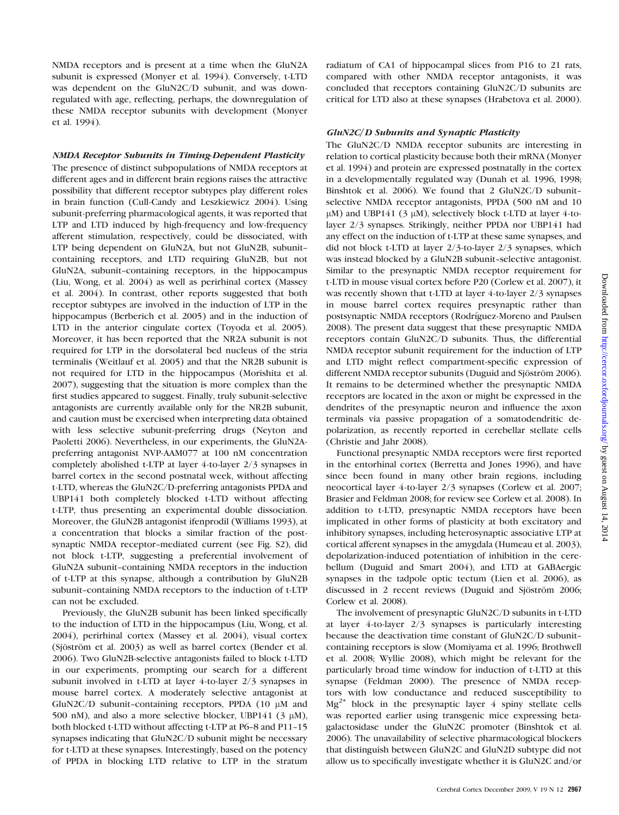NMDA receptors and is present at a time when the GluN2A subunit is expressed (Monyer et al. 1994). Conversely, t-LTD was dependent on the GluN2C/D subunit, and was downregulated with age, reflecting, perhaps, the downregulation of these NMDA receptor subunits with development (Monyer et al. 1994).

# NMDA Receptor Subunits in Timing-Dependent Plasticity

The presence of distinct subpopulations of NMDA receptors at different ages and in different brain regions raises the attractive possibility that different receptor subtypes play different roles in brain function (Cull-Candy and Leszkiewicz 2004). Using subunit-preferring pharmacological agents, it was reported that LTP and LTD induced by high-frequency and low-frequency afferent stimulation, respectively, could be dissociated, with LTP being dependent on GluN2A, but not GluN2B, subunit- containing receptors, and LTD requiring GluN2B, but not GluN2A, subunit-containing receptors, in the hippocampus (Liu, Wong, et al. 2004) as well as perirhinal cortex (Massey et al. 2004). In contrast, other reports suggested that both receptor subtypes are involved in the induction of LTP in the hippocampus (Berberich et al. 2005) and in the induction of LTD in the anterior cingulate cortex (Toyoda et al. 2005). Moreover, it has been reported that the NR2A subunit is not required for LTP in the dorsolateral bed nucleus of the stria terminalis (Weitlauf et al. 2005) and that the NR2B subunit is not required for LTD in the hippocampus (Morishita et al. 2007), suggesting that the situation is more complex than the first studies appeared to suggest. Finally, truly subunit-selective antagonists are currently available only for the NR2B subunit, and caution must be exercised when interpreting data obtained with less selective subunit-preferring drugs (Neyton and Paoletti 2006). Nevertheless, in our experiments, the GluN2Apreferring antagonist NVP-AAM077 at 100 nM concentration completely abolished t-LTP at layer 4-to-layer 2/3 synapses in barrel cortex in the second postnatal week, without affecting t-LTD, whereas the GluN2C/D-preferring antagonists PPDA and UBP141 both completely blocked t-LTD without affecting t-LTP, thus presenting an experimental double dissociation. Moreover, the GluN2B antagonist ifenprodil (Williams 1993), at a concentration that blocks a similar fraction of the post-synaptic NMDA receptor-mediated current (see<Fig. S2>), did not block t-LTP, suggesting a preferential involvement of GluN2A subunit-containing NMDA receptors in the induction of t-LTP at this synapse, although a contribution by GluN2B subunit-containing NMDA receptors to the induction of t-LTP can not be excluded.

Previously, the GluN2B subunit has been linked specifically to the induction of LTD in the hippocampus (Liu, Wong, et al. 2004), perirhinal cortex (Massey et al. 2004), visual cortex (Sjöström et al. 2003) as well as barrel cortex (Bender et al. 2006). Two GluN2B-selective antagonists failed to block t-LTD in our experiments, prompting our search for a different subunit involved in t-LTD at layer 4-to-layer 2/3 synapses in mouse barrel cortex. A moderately selective antagonist at GluN2C/D subunit-containing receptors, PPDA  $(10 \mu M)$  and 500 nM), and also a more selective blocker, UBP141 (3  $\mu$ M), both blocked t-LTD without affecting t-LTP at P6-8 and P11-15 synapses indicating that GluN2C/D subunit might be necessary for t-LTD at these synapses. Interestingly, based on the potency of PPDA in blocking LTD relative to LTP in the stratum

radiatum of CA1 of hippocampal slices from P16 to 21 rats, compared with other NMDA receptor antagonists, it was concluded that receptors containing GluN2C/D subunits are critical for LTD also at these synapses (Hrabetova et al. 2000).

# GluN2C/D Subunits and Synaptic Plasticity

The GluN2C/D NMDA receptor subunits are interesting in relation to cortical plasticity because both their mRNA (Monyer et al. 1994) and protein are expressed postnatally in the cortex in a developmentally regulated way (Dunah et al. 1996, 1998; Binshtok et al. 2006). We found that 2 GluN2C/D subunit- selective NMDA receptor antagonists, PPDA (500 nM and 10  $\mu$ M) and UBP141 (3  $\mu$ M), selectively block t-LTD at layer 4-tolayer 2/3 synapses. Strikingly, neither PPDA nor UBP141 had any effect on the induction of t-LTP at these same synapses, and did not block t-LTD at layer 2/3-to-layer 2/3 synapses, which was instead blocked by a GluN2B subunit-selective antagonist. Similar to the presynaptic NMDA receptor requirement for t-LTD in mouse visual cortex before P20 (Corlew et al. 2007), it was recently shown that t-LTD at layer 4-to-layer 2/3 synapses in mouse barrel cortex requires presynaptic rather than postsynaptic NMDA receptors (Rodrı´guez-Moreno and Paulsen 2008). The present data suggest that these presynaptic NMDA receptors contain GluN2C/D subunits. Thus, the differential NMDA receptor subunit requirement for the induction of LTP and LTD might reflect compartment-specific expression of different NMDA receptor subunits (Duguid and Sjöström 2006). It remains to be determined whether the presynaptic NMDA receptors are located in the axon or might be expressed in the dendrites of the presynaptic neuron and influence the axon terminals via passive propagation of a somatodendritic depolarization, as recently reported in cerebellar stellate cells (Christie and Jahr 2008).

Functional presynaptic NMDA receptors were first reported in the entorhinal cortex (Berretta and Jones 1996), and have since been found in many other brain regions, including neocortical layer 4-to-layer 2/3 synapses (Corlew et al. 2007; Brasier and Feldman 2008; for review see Corlew et al. 2008). In addition to t-LTD, presynaptic NMDA receptors have been implicated in other forms of plasticity at both excitatory and inhibitory synapses, including heterosynaptic associative LTP at cortical afferent synapses in the amygdala (Humeau et al. 2003), depolarization-induced potentiation of inhibition in the cerebellum (Duguid and Smart 2004), and LTD at GABAergic synapses in the tadpole optic tectum (Lien et al. 2006), as discussed in 2 recent reviews (Duguid and Sjöström 2006; Corlew et al. 2008).

The involvement of presynaptic GluN2C/D subunits in t-LTD at layer 4-to-layer 2/3 synapses is particularly interesting because the deactivation time constant of GluN2C/D subunit- containing receptors is slow (Momiyama et al. 1996; Brothwell et al. 2008; Wyllie 2008), which might be relevant for the particularly broad time window for induction of t-LTD at this synapse (Feldman 2000). The presence of NMDA receptors with low conductance and reduced susceptibility to  $Mg^{2+}$  block in the presynaptic layer 4 spiny stellate cells was reported earlier using transgenic mice expressing betagalactosidase under the GluN2C promoter (Binshtok et al. 2006). The unavailability of selective pharmacological blockers that distinguish between GluN2C and GluN2D subtype did not allow us to specifically investigate whether it is GluN2C and/or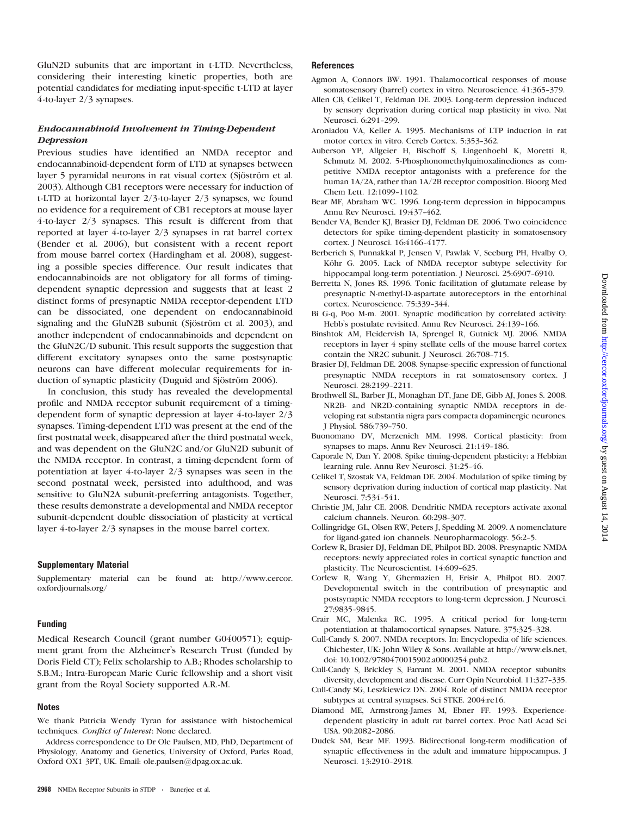GluN2D subunits that are important in t-LTD. Nevertheless, considering their interesting kinetic properties, both are potential candidates for mediating input-specific t-LTD at layer 4-to-layer 2/3 synapses.

# Endocannabinoid Involvement in Timing-Dependent **Depression**

Previous studies have identified an NMDA receptor and endocannabinoid-dependent form of LTD at synapses between layer 5 pyramidal neurons in rat visual cortex (Sjöström et al. 2003). Although CB1 receptors were necessary for induction of t-LTD at horizontal layer 2/3-to-layer 2/3 synapses, we found no evidence for a requirement of CB1 receptors at mouse layer 4-to-layer 2/3 synapses. This result is different from that reported at layer 4-to-layer 2/3 synapses in rat barrel cortex (Bender et al. 2006), but consistent with a recent report from mouse barrel cortex (Hardingham et al. 2008), suggesting a possible species difference. Our result indicates that endocannabinoids are not obligatory for all forms of timingdependent synaptic depression and suggests that at least 2 distinct forms of presynaptic NMDA receptor-dependent LTD can be dissociated, one dependent on endocannabinoid signaling and the GluN2B subunit (Sjöström et al. 2003), and another independent of endocannabinoids and dependent on the GluN2C/D subunit. This result supports the suggestion that different excitatory synapses onto the same postsynaptic neurons can have different molecular requirements for induction of synaptic plasticity (Duguid and Sjöström 2006).

In conclusion, this study has revealed the developmental profile and NMDA receptor subunit requirement of a timingdependent form of synaptic depression at layer 4-to-layer 2/3 synapses. Timing-dependent LTD was present at the end of the first postnatal week, disappeared after the third postnatal week, and was dependent on the GluN2C and/or GluN2D subunit of the NMDA receptor. In contrast, a timing-dependent form of potentiation at layer 4-to-layer 2/3 synapses was seen in the second postnatal week, persisted into adulthood, and was sensitive to GluN2A subunit-preferring antagonists. Together, these results demonstrate a developmental and NMDA receptor subunit-dependent double dissociation of plasticity at vertical layer 4-to-layer 2/3 synapses in the mouse barrel cortex.

# Supplementary Material

<Supplementary material> can be found at: [http://www.cercor.](http://www.cercor.oxfordjournals.org/) [oxfordjournals.org/](http://www.cercor.oxfordjournals.org/)

### Funding

Medical Research Council (grant number G0400571); equipment grant from the Alzheimer's Research Trust (funded by Doris Field CT); Felix scholarship to A.B.; Rhodes scholarship to S.B.M.; Intra-European Marie Curie fellowship and a short visit grant from the Royal Society supported A.R.-M.

# Notes

We thank Patricia Wendy Tyran for assistance with histochemical techniques. Conflict of Interest: None declared.

Address correspondence to Dr Ole Paulsen, MD, PhD, Department of Physiology, Anatomy and Genetics, University of Oxford, Parks Road, Oxford OX1 3PT, UK. Email: ole.paulsen@dpag.ox.ac.uk.

### **References**

- Agmon A, Connors BW. 1991. Thalamocortical responses of mouse somatosensory (barrel) cortex in vitro. Neuroscience. 41:365-379.
- Allen CB, Celikel T, Feldman DE. 2003. Long-term depression induced by sensory deprivation during cortical map plasticity in vivo. Nat Neurosci. 6:291-299.
- Aroniadou VA, Keller A. 1995. Mechanisms of LTP induction in rat motor cortex in vitro. Cereb Cortex. 5:353-362.
- Auberson YP, Allgeier H, Bischoff S, Lingenhoehl K, Moretti R, Schmutz M. 2002. 5-Phosphonomethylquinoxalinediones as competitive NMDA receptor antagonists with a preference for the human 1A/2A, rather than 1A/2B receptor composition. Bioorg Med Chem Lett. 12:1099-1102.
- Bear MF, Abraham WC. 1996. Long-term depression in hippocampus. Annu Rev Neurosci. 19:437-462.
- Bender VA, Bender KJ, Brasier DJ, Feldman DE. 2006. Two coincidence detectors for spike timing-dependent plasticity in somatosensory cortex. J Neurosci. 16:4166-4177.
- Berberich S, Punnakkal P, Jensen V, Pawlak V, Seeburg PH, Hvalby O, Köhr G. 2005. Lack of NMDA receptor subtype selectivity for hippocampal long-term potentiation. J Neurosci. 25:6907-6910.
- Berretta N, Jones RS. 1996. Tonic facilitation of glutamate release by presynaptic N-methyl-D-aspartate autoreceptors in the entorhinal cortex. Neuroscience. 75:339-344.
- Bi G-q, Poo M-m. 2001. Synaptic modification by correlated activity: Hebb's postulate revisited. Annu Rev Neurosci. 24:139-166.
- Binshtok AM, Fleidervish IA, Sprengel R, Gutnick MJ. 2006. NMDA receptors in layer 4 spiny stellate cells of the mouse barrel cortex contain the NR2C subunit. J Neurosci. 26:708-715.
- Brasier DJ, Feldman DE. 2008. Synapse-specific expression of functional presynaptic NMDA receptors in rat somatosensory cortex. J Neurosci. 28:2199-2211.
- Brothwell SL, Barber JL, Monaghan DT, Jane DE, Gibb AJ, Jones S. 2008. NR2B- and NR2D-containing synaptic NMDA receptors in developing rat substantia nigra pars compacta dopaminergic neurones. J Physiol. 586:739--750.
- Buonomano DV, Merzenich MM. 1998. Cortical plasticity: from synapses to maps. Annu Rev Neurosci. 21:149-186.
- Caporale N, Dan Y. 2008. Spike timing-dependent plasticity: a Hebbian learning rule. Annu Rev Neurosci. 31:25-46.
- Celikel T, Szostak VA, Feldman DE. 2004. Modulation of spike timing by sensory deprivation during induction of cortical map plasticity. Nat Neurosci. 7:534-541.
- Christie JM, Jahr CE. 2008. Dendritic NMDA receptors activate axonal calcium channels. Neuron. 60:298-307.
- Collingridge GL, Olsen RW, Peters J, Spedding M. 2009. A nomenclature for ligand-gated ion channels. Neuropharmacology. 56:2-5.
- Corlew R, Brasier DJ, Feldman DE, Philpot BD. 2008. Presynaptic NMDA receptors: newly appreciated roles in cortical synaptic function and plasticity. The Neuroscientist. 14:609-625.
- Corlew R, Wang Y, Ghermazien H, Erisir A, Philpot BD. 2007. Developmental switch in the contribution of presynaptic and postsynaptic NMDA receptors to long-term depression. J Neurosci. 27:9835--9845.
- Crair MC, Malenka RC. 1995. A critical period for long-term potentiation at thalamocortical synapses. Nature. 375:325-328.
- Cull-Candy S. 2007. NMDA receptors. In: Encyclopedia of life sciences. Chichester, UK: John Wiley & Sons. Available at [http://www.els.net,](http://www.els.net, doi: 10.1002/9780470015902.a0000254.pub2) [doi: 10.1002/9780470015902.a0000254.pub2.](http://www.els.net, doi: 10.1002/9780470015902.a0000254.pub2)
- Cull-Candy S, Brickley S, Farrant M. 2001. NMDA receptor subunits: diversity, development and disease. Curr Opin Neurobiol. 11:327-335.
- Cull-Candy SG, Leszkiewicz DN. 2004. Role of distinct NMDA receptor subtypes at central synapses. Sci STKE. 2004:re16.
- Diamond ME, Armstrong-James M, Ebner FF. 1993. Experiencedependent plasticity in adult rat barrel cortex. Proc Natl Acad Sci USA. 90:2082-2086.
- Dudek SM, Bear MF. 1993. Bidirectional long-term modification of synaptic effectiveness in the adult and immature hippocampus. J Neurosci. 13:2910-2918.